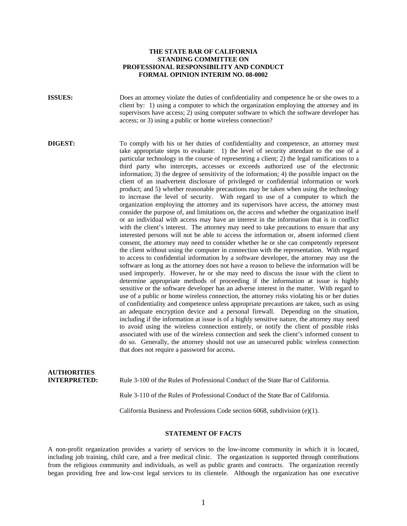### **THE STATE BAR OF CALIFORNIA STANDING COMMITTEE ON PROFESSIONAL RESPONSIBILITY AND CONDUCT FORMAL OPINION INTERIM NO. 08-0002**

**ISSUES:** Does an attorney violate the duties of confidentiality and competence he or she owes to a client by: 1) using a computer to which the organization employing the attorney and its supervisors have access; 2) using computer software to which the software developer has access; or 3) using a public or home wireless connection?

**DIGEST:** To comply with his or her duties of confidentiality and competence, an attorney must take appropriate steps to evaluate: 1) the level of security attendant to the use of a particular technology in the course of representing a client; 2) the legal ramifications to a third party who intercepts, accesses or exceeds authorized use of the electronic information; 3) the degree of sensitivity of the information; 4) the possible impact on the client of an inadvertent disclosure of privileged or confidential information or work product; and 5) whether reasonable precautions may be taken when using the technology to increase the level of security. With regard to use of a computer to which the organization employing the attorney and its supervisors have access, the attorney must consider the purpose of, and limitations on, the access and whether the organization itself or an individual with access may have an interest in the information that is in conflict with the client's interest. The attorney may need to take precautions to ensure that any interested persons will not be able to access the information or, absent informed client consent, the attorney may need to consider whether he or she can competently represent the client without using the computer in connection with the representation. With regard to access to confidential information by a software developer, the attorney may use the software as long as the attorney does not have a reason to believe the information will be used improperly. However, he or she may need to discuss the issue with the client to determine appropriate methods of proceeding if the information at issue is highly sensitive or the software developer has an adverse interest in the matter. With regard to use of a public or home wireless connection, the attorney risks violating his or her duties of confidentiality and competence unless appropriate precautions are taken, such as using an adequate encryption device and a personal firewall. Depending on the situation, including if the information at issue is of a highly sensitive nature, the attorney may need to avoid using the wireless connection entirely, or notify the client of possible risks associated with use of the wireless connection and seek the client's informed consent to do so. Generally, the attorney should not use an unsecured public wireless connection that does not require a password for access.

# **AUTHORITIES INTERPRETED:** Rule 3-100 of the Rules of Professional Conduct of the State Bar of California. Rule 3-110 of the Rules of Professional Conduct of the State Bar of California.

California Business and Professions Code section 6068, subdivision (e)(1).

#### **STATEMENT OF FACTS**

A non-profit organization provides a variety of services to the low-income community in which it is located, including job training, child care, and a free medical clinic. The organization is supported through contributions from the religious community and individuals, as well as public grants and contracts. The organization recently began providing free and low-cost legal services to its clientele. Although the organization has one executive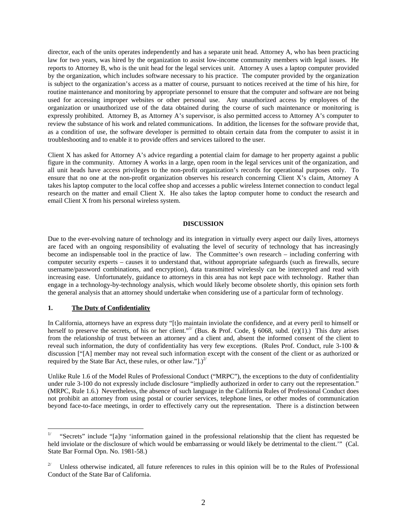director, each of the units operates independently and has a separate unit head. Attorney A, who has been practicing law for two years, was hired by the organization to assist low-income community members with legal issues. He reports to Attorney B, who is the unit head for the legal services unit. Attorney A uses a laptop computer provided by the organization, which includes software necessary to his practice. The computer provided by the organization is subject to the organization's access as a matter of course, pursuant to notices received at the time of his hire, for routine maintenance and monitoring by appropriate personnel to ensure that the computer and software are not being used for accessing improper websites or other personal use. Any unauthorized access by employees of the organization or unauthorized use of the data obtained during the course of such maintenance or monitoring is expressly prohibited. Attorney B, as Attorney A's supervisor, is also permitted access to Attorney A's computer to review the substance of his work and related communications. In addition, the licenses for the software provide that, as a condition of use, the software developer is permitted to obtain certain data from the computer to assist it in troubleshooting and to enable it to provide offers and services tailored to the user.

Client X has asked for Attorney A's advice regarding a potential claim for damage to her property against a public figure in the community. Attorney A works in a large, open room in the legal services unit of the organization, and all unit heads have access privileges to the non-profit organization's records for operational purposes only. To ensure that no one at the non-profit organization observes his research concerning Client X's claim, Attorney A takes his laptop computer to the local coffee shop and accesses a public wireless Internet connection to conduct legal research on the matter and email Client X. He also takes the laptop computer home to conduct the research and email Client X from his personal wireless system.

#### **DISCUSSION**

Due to the ever-evolving nature of technology and its integration in virtually every aspect our daily lives, attorneys are faced with an ongoing responsibility of evaluating the level of security of technology that has increasingly become an indispensable tool in the practice of law. The Committee's own research – including conferring with computer security experts – causes it to understand that, without appropriate safeguards (such as firewalls, secure username/password combinations, and encryption), data transmitted wirelessly can be intercepted and read with increasing ease. Unfortunately, guidance to attorneys in this area has not kept pace with technology. Rather than engage in a technology-by-technology analysis, which would likely become obsolete shortly, this opinion sets forth the general analysis that an attorney should undertake when considering use of a particular form of technology.

## **1. The Duty of Confidentiality**

 $\overline{a}$ 

In California, attorneys have an express duty "[t]o maintain inviolate the confidence, and at every peril to himself or herself to preserve the secrets, of his or her client."<sup>1</sup> (Bus. & Prof. Code, § 6068, subd. (e)(1).) This duty arises from the relationship of trust between an attorney and a client and, absent the informed consent of the client to reveal such information, the duty of confidentiality has very few exceptions. (Rules Prof. Conduct, rule 3-100 & discussion ["[A] member may not reveal such information except with the consent of the client or as authorized or required by the State Bar Act, these rules, or other law."[.)<sup>2/</sup>

Unlike Rule 1.6 of the Model Rules of Professional Conduct ("MRPC"), the exceptions to the duty of confidentiality under rule 3-100 do not expressly include disclosure "impliedly authorized in order to carry out the representation." (MRPC, Rule 1.6.) Nevertheless, the absence of such language in the California Rules of Professional Conduct does not prohibit an attorney from using postal or courier services, telephone lines, or other modes of communication beyond face-to-face meetings, in order to effectively carry out the representation. There is a distinction between

<sup>1/ &</sup>quot;Secrets" include "[a]ny 'information gained in the professional relationship that the client has requested be held inviolate or the disclosure of which would be embarrassing or would likely be detrimental to the client.'" (Cal. State Bar Formal Opn. No. 1981-58.)

 $2^{\prime}$  Unless otherwise indicated, all future references to rules in this opinion will be to the Rules of Professional Conduct of the State Bar of California.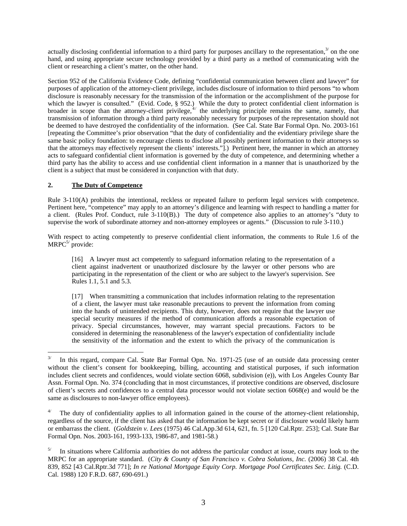actually disclosing confidential information to a third party for purposes ancillary to the representation, $3/$  on the one hand, and using appropriate secure technology provided by a third party as a method of communicating with the client or researching a client's matter, on the other hand.

Section 952 of the California Evidence Code, defining "confidential communication between client and lawyer" for purposes of application of the attorney-client privilege, includes disclosure of information to third persons "to whom disclosure is reasonably necessary for the transmission of the information or the accomplishment of the purpose for which the lawyer is consulted." (Evid. Code, § 952.) While the duty to protect confidential client information is broader in scope than the attorney-client privilege,  $4/$  the underlying principle remains the same, namely, that transmission of information through a third party reasonably necessary for purposes of the representation should not be deemed to have destroyed the confidentiality of the information. (See Cal. State Bar Formal Opn. No. 2003-161 [repeating the Committee's prior observation "that the duty of confidentiality and the evidentiary privilege share the same basic policy foundation: to encourage clients to disclose all possibly pertinent information to their attorneys so that the attorneys may effectively represent the clients' interests."].) Pertinent here, the manner in which an attorney acts to safeguard confidential client information is governed by the duty of competence, and determining whether a third party has the ability to access and use confidential client information in a manner that is unauthorized by the client is a subject that must be considered in conjunction with that duty.

# **2. The Duty of Competence**

 $\overline{a}$ 

Rule 3-110(A) prohibits the intentional, reckless or repeated failure to perform legal services with competence. Pertinent here, "competence" may apply to an attorney's diligence and learning with respect to handling a matter for a client. (Rules Prof. Conduct, rule 3-110(B).) The duty of competence also applies to an attorney's "duty to supervise the work of subordinate attorney and non-attorney employees or agents." (Discussion to rule 3-110.)

With respect to acting competently to preserve confidential client information, the comments to Rule 1.6 of the  $MRPC<sup>5/</sup>$  provide:

[16] A lawyer must act competently to safeguard information relating to the representation of a client against inadvertent or unauthorized disclosure by the lawyer or other persons who are participating in the representation of the client or who are subject to the lawyer's supervision. See Rules 1.1, 5.1 and 5.3.

[17] When transmitting a communication that includes information relating to the representation of a client, the lawyer must take reasonable precautions to prevent the information from coming into the hands of unintended recipients. This duty, however, does not require that the lawyer use special security measures if the method of communication affords a reasonable expectation of privacy. Special circumstances, however, may warrant special precautions. Factors to be considered in determining the reasonableness of the lawyer's expectation of confidentiality include the sensitivity of the information and the extent to which the privacy of the communication is

In this regard, compare Cal. State Bar Formal Opn. No. 1971-25 (use of an outside data processing center without the client's consent for bookkeeping, billing, accounting and statistical purposes, if such information includes client secrets and confidences, would violate section 6068, subdivision (e)), with Los Angeles County Bar Assn. Formal Opn. No. 374 (concluding that in most circumstances, if protective conditions are observed, disclosure of client's secrets and confidences to a central data processor would not violate section 6068(e) and would be the same as disclosures to non-lawyer office employees).

The duty of confidentiality applies to all information gained in the course of the attorney-client relationship, regardless of the source, if the client has asked that the information be kept secret or if disclosure would likely harm or embarrass the client. (*Goldstein v. Lees* (1975) 46 Cal.App.3d 614, 621, fn. 5 [120 Cal.Rptr. 253]; Cal. State Bar Formal Opn. Nos. 2003-161, 1993-133, 1986-87, and 1981-58.)

 $5/$  In situations where California authorities do not address the particular conduct at issue, courts may look to the MRPC for an appropriate standard. (*City & County of San Francisco v. Cobra Solutions, Inc.* (2006) 38 Cal. 4th 839, 852 [43 Cal.Rptr.3d 771]; *In re National Mortgage Equity Corp. Mortgage Pool Certificates Sec. Litig.* (C.D. Cal. 1988) 120 F.R.D. 687, 690-691.)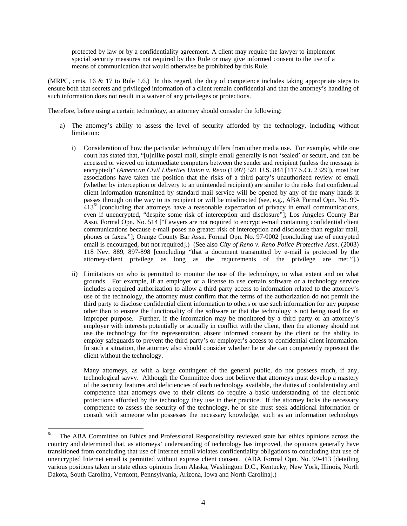protected by law or by a confidentiality agreement. A client may require the lawyer to implement special security measures not required by this Rule or may give informed consent to the use of a means of communication that would otherwise be prohibited by this Rule.

(MRPC, cmts. 16 & 17 to Rule 1.6.) In this regard, the duty of competence includes taking appropriate steps to ensure both that secrets and privileged information of a client remain confidential and that the attorney's handling of such information does not result in a waiver of any privileges or protections.

Therefore, before using a certain technology, an attorney should consider the following:

- a) The attorney's ability to assess the level of security afforded by the technology, including without limitation:
	- i) Consideration of how the particular technology differs from other media use. For example, while one court has stated that, "[u]nlike postal mail, simple email generally is not 'sealed' or secure, and can be accessed or viewed on intermediate computers between the sender and recipient (unless the message is encrypted)" (*American Civil Liberties Union v. Reno* (1997) 521 U.S. 844 [117 S.Ct. 2329]), most bar associations have taken the position that the risks of a third party's unauthorized review of email (whether by interception or delivery to an unintended recipient) are similar to the risks that confidential client information transmitted by standard mail service will be opened by any of the many hands it passes through on the way to its recipient or will be misdirected (see, e.g., ABA Formal Opn. No. 99-  $413<sup>6</sup>$  [concluding that attorneys have a reasonable expectation of privacy in email communications, even if unencrypted, "despite some risk of interception and disclosure"]; Los Angeles County Bar Assn. Formal Opn. No. 514 ["Lawyers are not required to encrypt e-mail containing confidential client communications because e-mail poses no greater risk of interception and disclosure than regular mail, phones or faxes."]; Orange County Bar Assn. Formal Opn. No. 97-0002 [concluding use of encrypted email is encouraged, but not required].) (See also *City of Reno v. Reno Police Protective Assn.* (2003) 118 Nev. 889, 897-898 [concluding "that a document transmitted by e-mail is protected by the attorney-client privilege as long as the requirements of the privilege are met."].)
	- ii) Limitations on who is permitted to monitor the use of the technology, to what extent and on what grounds. For example, if an employer or a license to use certain software or a technology service includes a required authorization to allow a third party access to information related to the attorney's use of the technology, the attorney must confirm that the terms of the authorization do not permit the third party to disclose confidential client information to others or use such information for any purpose other than to ensure the functionality of the software or that the technology is not being used for an improper purpose. Further, if the information may be monitored by a third party or an attorney's employer with interests potentially or actually in conflict with the client, then the attorney should not use the technology for the representation, absent informed consent by the client or the ability to employ safeguards to prevent the third party's or employer's access to confidential client information. In such a situation, the attorney also should consider whether he or she can competently represent the client without the technology.

Many attorneys, as with a large contingent of the general public, do not possess much, if any, technological savvy. Although the Committee does not believe that attorneys must develop a mastery of the security features and deficiencies of each technology available, the duties of confidentiality and competence that attorneys owe to their clients do require a basic understanding of the electronic protections afforded by the technology they use in their practice. If the attorney lacks the necessary competence to assess the security of the technology, he or she must seek additional information or consult with someone who possesses the necessary knowledge, such as an information technology

 $\overline{a}$ 

 $6/$  The ABA Committee on Ethics and Professional Responsibility reviewed state bar ethics opinions across the country and determined that, as attorneys' understanding of technology has improved, the opinions generally have transitioned from concluding that use of Internet email violates confidentiality obligations to concluding that use of unencrypted Internet email is permitted without express client consent. (ABA Formal Opn. No. 99-413 [detailing various positions taken in state ethics opinions from Alaska, Washington D.C., Kentucky, New York, Illinois, North Dakota, South Carolina, Vermont, Pennsylvania, Arizona, Iowa and North Carolina].)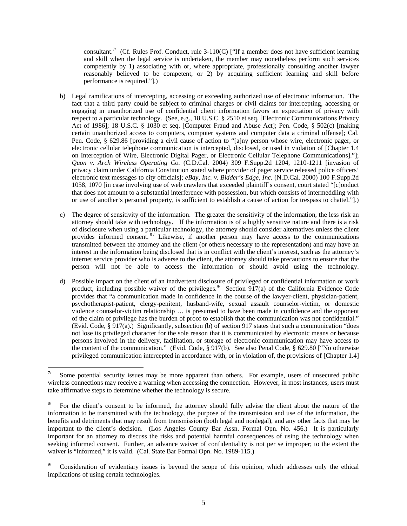consultant.<sup>7/</sup> (Cf. Rules Prof. Conduct, rule 3-110(C) ["If a member does not have sufficient learning and skill when the legal service is undertaken, the member may nonetheless perform such services competently by 1) associating with or, where appropriate, professionally consulting another lawyer reasonably believed to be competent, or 2) by acquiring sufficient learning and skill before performance is required."].)

- b) Legal ramifications of intercepting, accessing or exceeding authorized use of electronic information. The fact that a third party could be subject to criminal charges or civil claims for intercepting, accessing or engaging in unauthorized use of confidential client information favors an expectation of privacy with respect to a particular technology. (See, e.g., 18 U.S.C. § 2510 et seq. [Electronic Communications Privacy Act of 1986]; 18 U.S.C. § 1030 et seq. [Computer Fraud and Abuse Act]; Pen. Code, § 502(c) [making certain unauthorized access to computers, computer systems and computer data a criminal offense]; Cal. Pen. Code, § 629.86 [providing a civil cause of action to "[a]ny person whose wire, electronic pager, or electronic cellular telephone communication is intercepted, disclosed, or used in violation of [Chapter 1.4 on Interception of Wire, Electronic Digital Pager, or Electronic Cellular Telephone Communications]."]; *Quon v. Arch Wireless Operating Co.* (C.D.Cal. 2004) 309 F.Supp.2d 1204, 1210-1211 [invasion of privacy claim under California Constitution stated where provider of pager service released police officers' electronic text messages to city officials]; *eBay, Inc. v. Bidder's Edge, Inc.* (N.D.Cal. 2000) 100 F.Supp.2d 1058, 1070 [in case involving use of web crawlers that exceeded plaintiff's consent, court stated "[c]onduct that does not amount to a substantial interference with possession, but which consists of intermeddling with or use of another's personal property, is sufficient to establish a cause of action for trespass to chattel."].)
- c) The degree of sensitivity of the information. The greater the sensitivity of the information, the less risk an attorney should take with technology. If the information is of a highly sensitive nature and there is a risk of disclosure when using a particular technology, the attorney should consider alternatives unless the client provides informed consent.<sup>8</sup> Likewise, if another person may have access to the communications transmitted between the attorney and the client (or others necessary to the representation) and may have an interest in the information being disclosed that is in conflict with the client's interest, such as the attorney's internet service provider who is adverse to the client, the attorney should take precautions to ensure that the person will not be able to access the information or should avoid using the technology.
- d) Possible impact on the client of an inadvertent disclosure of privileged or confidential information or work product, including possible waiver of the privileges.<sup>9/</sup> Section  $917(a)$  of the California Evidence Code provides that "a communication made in confidence in the course of the lawyer-client, physician-patient, psychotherapist-patient, clergy-penitent, husband-wife, sexual assault counselor-victim, or domestic violence counselor-victim relationship … is presumed to have been made in confidence and the opponent of the claim of privilege has the burden of proof to establish that the communication was not confidential." (Evid. Code, § 917(a).) Significantly, subsection (b) of section 917 states that such a communication "does not lose its privileged character for the sole reason that it is communicated by electronic means or because persons involved in the delivery, facilitation, or storage of electronic communication may have access to the content of the communication." (Evid. Code, § 917(b). See also Penal Code, § 629.80 ["No otherwise privileged communication intercepted in accordance with, or in violation of, the provisions of [Chapter 1.4]

 $\overline{a}$ 

Some potential security issues may be more apparent than others. For example, users of unsecured public wireless connections may receive a warning when accessing the connection. However, in most instances, users must take affirmative steps to determine whether the technology is secure.

<sup>8/</sup> For the client's consent to be informed, the attorney should fully advise the client about the nature of the information to be transmitted with the technology, the purpose of the transmission and use of the information, the benefits and detriments that may result from transmission (both legal and nonlegal), and any other facts that may be important to the client's decision. (Los Angeles County Bar Assn. Formal Opn. No. 456.) It is particularly important for an attorney to discuss the risks and potential harmful consequences of using the technology when seeking informed consent. Further, an advance waiver of confidentiality is not per se improper; to the extent the waiver is "informed," it is valid. (Cal. State Bar Formal Opn. No. 1989-115.)

Consideration of evidentiary issues is beyond the scope of this opinion, which addresses only the ethical implications of using certain technologies.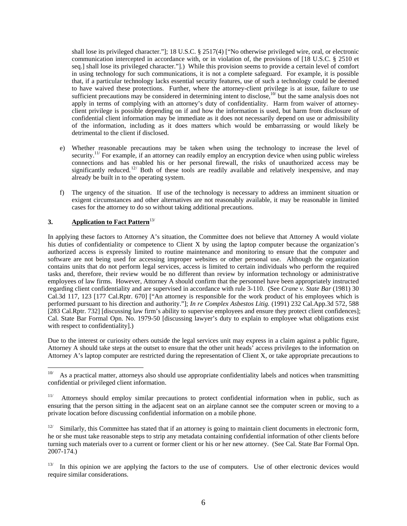shall lose its privileged character."]; 18 U.S.C. § 2517(4) ["No otherwise privileged wire, oral, or electronic communication intercepted in accordance with, or in violation of, the provisions of [18 U.S.C. § 2510 et seq.] shall lose its privileged character."].) While this provision seems to provide a certain level of comfort in using technology for such communications, it is not a complete safeguard. For example, it is possible that, if a particular technology lacks essential security features, use of such a technology could be deemed to have waived these protections. Further, where the attorney-client privilege is at issue, failure to use sufficient precautions may be considered in determining intent to disclose,  $10<sup>7</sup>$  but the same analysis does not apply in terms of complying with an attorney's duty of confidentiality. Harm from waiver of attorneyclient privilege is possible depending on if and how the information is used, but harm from disclosure of confidential client information may be immediate as it does not necessarily depend on use or admissibility of the information, including as it does matters which would be embarrassing or would likely be detrimental to the client if disclosed.

- e) Whether reasonable precautions may be taken when using the technology to increase the level of security.<sup>11/</sup> For example, if an attorney can readily employ an encryption device when using public wireless connections and has enabled his or her personal firewall, the risks of unauthorized access may be significantly reduced.<sup>12/</sup> Both of these tools are readily available and relatively inexpensive, and may already be built in to the operating system.
- f) The urgency of the situation. If use of the technology is necessary to address an imminent situation or exigent circumstances and other alternatives are not reasonably available, it may be reasonable in limited cases for the attorney to do so without taking additional precautions.

# **3. Application to Fact Pattern**13/

 $\overline{a}$ 

In applying these factors to Attorney A's situation, the Committee does not believe that Attorney A would violate his duties of confidentiality or competence to Client X by using the laptop computer because the organization's authorized access is expressly limited to routine maintenance and monitoring to ensure that the computer and software are not being used for accessing improper websites or other personal use. Although the organization contains units that do not perform legal services, access is limited to certain individuals who perform the required tasks and, therefore, their review would be no different than review by information technology or administrative employees of law firms. However, Attorney A should confirm that the personnel have been appropriately instructed regarding client confidentiality and are supervised in accordance with rule 3-110. (See *Crane v. State Bar* (1981) 30 Cal.3d 117, 123 [177 Cal.Rptr. 670] ["An attorney is responsible for the work product of his employees which is performed pursuant to his direction and authority."]; *In re Complex Asbestos Litig.* (1991) 232 Cal.App.3d 572, 588 [283 Cal.Rptr. 732] [discussing law firm's ability to supervise employees and ensure they protect client confidences]; Cal. State Bar Formal Opn. No. 1979-50 [discussing lawyer's duty to explain to employee what obligations exist with respect to confidentiality].)

Due to the interest or curiosity others outside the legal services unit may express in a claim against a public figure, Attorney A should take steps at the outset to ensure that the other unit heads' access privileges to the information on Attorney A's laptop computer are restricted during the representation of Client X, or take appropriate precautions to

As a practical matter, attorneys also should use appropriate confidentiality labels and notices when transmitting confidential or privileged client information.

<sup>&</sup>lt;sup>11/</sup> Attorneys should employ similar precautions to protect confidential information when in public, such as ensuring that the person sitting in the adjacent seat on an airplane cannot see the computer screen or moving to a private location before discussing confidential information on a mobile phone.

Similarly, this Committee has stated that if an attorney is going to maintain client documents in electronic form, he or she must take reasonable steps to strip any metadata containing confidential information of other clients before turning such materials over to a current or former client or his or her new attorney. (See Cal. State Bar Formal Opn. 2007-174.)

 $13/$  In this opinion we are applying the factors to the use of computers. Use of other electronic devices would require similar considerations.